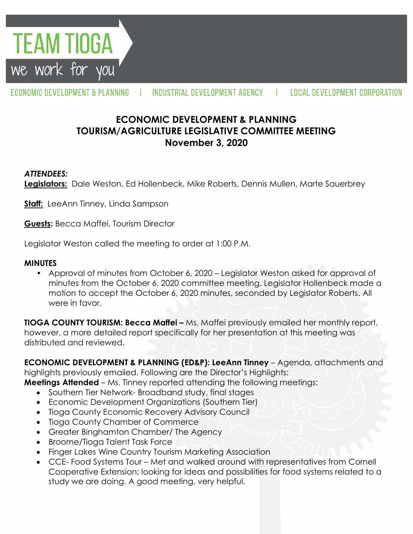**TEAM TIOGA** we work for you

#### ECONOMIC DEVELOPMENT & PLANNING INDUSTRIAL DEVELOPMENT AGENCY LOCAL DEVELOPMENT CORPORATION  $\mathbf{1}$

# **ECONOMIC DEVELOPMENT & PLANNING TOURISM/AGRICULTURE LEGISLATIVE COMMITTEE MEETING November 3, 2020**

### *ATTENDEES:*

**Legislators:** Dale Weston, Ed Hollenbeck, Mike Roberts, Dennis Mullen, Marte Sauerbrey

**Staff:** LeeAnn Tinney, Linda Sampson

**Guests:** Becca Maffei, Tourism Director

Legislator Weston called the meeting to order at 1:00 P.M.

#### **MINUTES**

• Approval of minutes from October 6, 2020 – Legislator Weston asked for approval of minutes from the October 6, 2020 committee meeting. Legislator Hollenbeck made a motion to accept the October 6, 2020 minutes, seconded by Legislator Roberts. All were in favor.

**TIOGA COUNTY TOURISM: Becca Maffei –** Ms. Maffei previously emailed her monthly report, however, a more detailed report specifically for her presentation at this meeting was distributed and reviewed.

**ECONOMIC DEVELOPMENT & PLANNING (ED&P): LeeAnn Tinney** – Agenda, attachments and highlights previously emailed. Following are the Director's Highlights:

**Meetings Attended** – Ms. Tinney reported attending the following meetings:

- Southern Tier Network-Broadband study, final stages
- Economic Development Organizations (Southern Tier)
- Tioga County Economic Recovery Advisory Council
- Tioga County Chamber of Commerce
- Greater Binghamton Chamber/ The Agency
- Broome/Tioga Talent Task Force
- Finger Lakes Wine Country Tourism Marketing Association
- CCE- Food Systems Tour Met and walked around with representatives from Cornell Cooperative Extension; looking for ideas and possibilities for food systems related to a study we are doing. A good meeting, very helpful.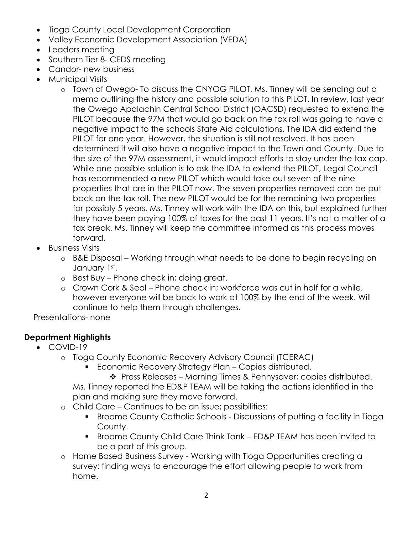- Tioga County Local Development Corporation
- Valley Economic Development Association (VEDA)
- Leaders meeting
- Southern Tier 8- CEDS meeting
- Candor- new business
- Municipal Visits
	- o Town of Owego- To discuss the CNYOG PILOT. Ms. Tinney will be sending out a memo outlining the history and possible solution to this PILOT. In review, last year the Owego Apalachin Central School District (OACSD) requested to extend the PILOT because the 97M that would go back on the tax roll was going to have a negative impact to the schools State Aid calculations. The IDA did extend the PILOT for one year. However, the situation is still not resolved. It has been determined it will also have a negative impact to the Town and County. Due to the size of the 97M assessment, it would impact efforts to stay under the tax cap. While one possible solution is to ask the IDA to extend the PILOT, Legal Council has recommended a new PILOT which would take out seven of the nine properties that are in the PILOT now. The seven properties removed can be put back on the tax roll. The new PILOT would be for the remaining two properties for possibly 5 years. Ms. Tinney will work with the IDA on this, but explained further they have been paying 100% of taxes for the past 11 years. It's not a matter of a tax break. Ms. Tinney will keep the committee informed as this process moves forward.
- Business Visits
	- o B&E Disposal Working through what needs to be done to begin recycling on January 1st.
	- o Best Buy Phone check in; doing great.
	- o Crown Cork & Seal Phone check in; workforce was cut in half for a while, however everyone will be back to work at 100% by the end of the week. Will continue to help them through challenges.

Presentations- none

# **Department Highlights**

- COVID-19
	- o Tioga County Economic Recovery Advisory Council (TCERAC)
		- **Economic Recovery Strategy Plan Copies distributed.**

 Press Releases – Morning Times & Pennysaver; copies distributed. Ms. Tinney reported the ED&P TEAM will be taking the actions identified in the plan and making sure they move forward.

- o Child Care Continues to be an issue; possibilities:
	- Broome County Catholic Schools Discussions of putting a facility in Tioga County.
	- Broome County Child Care Think Tank ED&P TEAM has been invited to be a part of this group.
- o Home Based Business Survey Working with Tioga Opportunities creating a survey; finding ways to encourage the effort allowing people to work from home.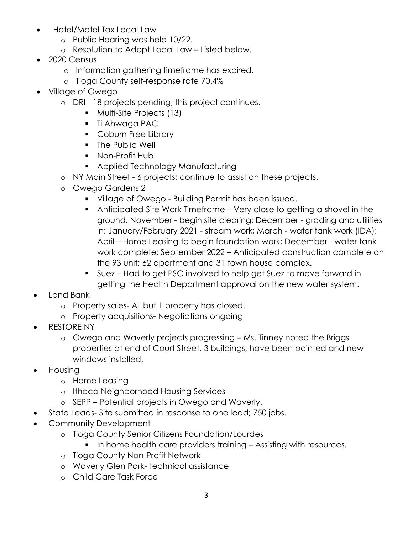- Hotel/Motel Tax Local Law
	- o Public Hearing was held 10/22.
	- o Resolution to Adopt Local Law Listed below.
- 2020 Census
	- o Information gathering timeframe has expired.
	- o Tioga County self-response rate 70.4%
- Village of Owego
	- o DRI 18 projects pending; this project continues.
		- Multi-Site Projects (13)
		- Ti Ahwaga PAC
		- **Coburn Free Library**
		- **The Public Well**
		- Non-Profit Hub
		- **Applied Technology Manufacturing**
	- o NY Main Street 6 projects; continue to assist on these projects.
	- o Owego Gardens 2
		- **Village of Owego Building Permit has been issued.**
		- Anticipated Site Work Timeframe Very close to getting a shovel in the ground. November - begin site clearing; December - grading and utilities in; January/February 2021 - stream work; March - water tank work (IDA); April – Home Leasing to begin foundation work; December - water tank work complete; September 2022 – Anticipated construction complete on the 93 unit; 62 apartment and 31 town house complex.
		- Suez Had to get PSC involved to help get Suez to move forward in getting the Health Department approval on the new water system.
- Land Bank
	- o Property sales- All but 1 property has closed.
	- o Property acquisitions- Negotiations ongoing
- RESTORE NY
	- o Owego and Waverly projects progressing Ms. Tinney noted the Briggs properties at end of Court Street, 3 buildings, have been painted and new windows installed.
- Housing
	- o Home Leasing
	- o Ithaca Neighborhood Housing Services
	- o SEPP Potential projects in Owego and Waverly.
- State Leads- Site submitted in response to one lead; 750 jobs.
- Community Development
	- o Tioga County Senior Citizens Foundation/Lourdes
		- In home health care providers training Assisting with resources.
	- o Tioga County Non-Profit Network
	- o Waverly Glen Park- technical assistance
	- o Child Care Task Force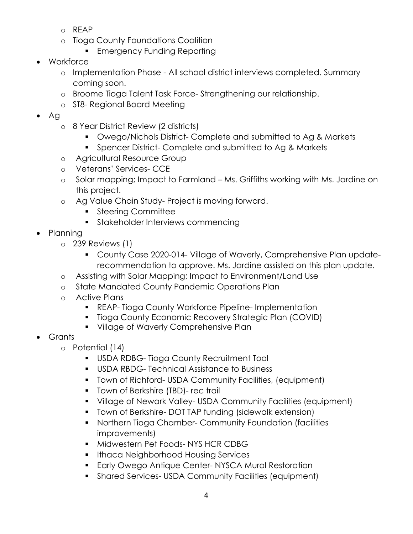- o REAP
- o Tioga County Foundations Coalition
	- **Emergency Funding Reporting**
- Workforce
	- o Implementation Phase All school district interviews completed. Summary coming soon.
	- o Broome Tioga Talent Task Force- Strengthening our relationship.
	- o ST8- Regional Board Meeting
- Ag
	- o 8 Year District Review (2 districts)
		- **Owego/Nichols District- Complete and submitted to Ag & Markets**
		- **Spencer District- Complete and submitted to Ag & Markets**
	- o Agricultural Resource Group
	- o Veterans' Services- CCE
	- o Solar mapping; Impact to Farmland Ms. Griffiths working with Ms. Jardine on this project.
	- o Ag Value Chain Study- Project is moving forward.
		- **Steering Committee**
		- **Stakeholder Interviews commencing**
- Planning
	- o 239 Reviews (1)
		- County Case 2020-014- Village of Waverly, Comprehensive Plan updaterecommendation to approve. Ms. Jardine assisted on this plan update.
	- o Assisting with Solar Mapping; Impact to Environment/Land Use
	- o State Mandated County Pandemic Operations Plan
	- o Active Plans
		- REAP- Tioga County Workforce Pipeline- Implementation
		- **Tioga County Economic Recovery Strategic Plan (COVID)**
		- **Village of Waverly Comprehensive Plan**
- Grants
	- o Potential (14)
		- **USDA RDBG-Tioga County Recruitment Tool**
		- USDA RBDG- Technical Assistance to Business
		- Town of Richford- USDA Community Facilities, (equipment)
		- **Town of Berkshire (TBD)- rec trail**
		- Village of Newark Valley- USDA Community Facilities (equipment)
		- Town of Berkshire- DOT TAP funding (sidewalk extension)
		- Northern Tioga Chamber- Community Foundation (facilities improvements)
		- **Midwestern Pet Foods-NYS HCR CDBG**
		- **Ithaca Neighborhood Housing Services**
		- **Early Owego Antique Center- NYSCA Mural Restoration**
		- Shared Services- USDA Community Facilities (equipment)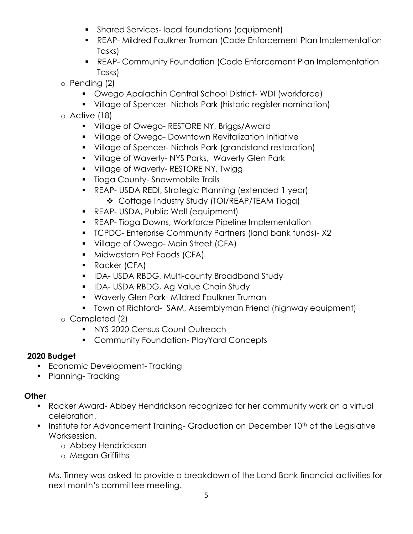- **Shared Services- local foundations (equipment)**
- REAP- Mildred Faulkner Truman (Code Enforcement Plan Implementation Tasks)
- REAP- Community Foundation (Code Enforcement Plan Implementation Tasks)
- o Pending (2)
	- Owego Apalachin Central School District- WDI (workforce)
	- Village of Spencer- Nichols Park (historic register nomination)
- o Active (18)
	- **Village of Owego- RESTORE NY, Briggs/Award**
	- **Village of Owego- Downtown Revitalization Initiative**
	- Village of Spencer- Nichols Park (grandstand restoration)
	- **UILAGE OF Waverly-NYS Parks, Waverly Glen Park**
	- **Village of Waverly- RESTORE NY, Twigg**
	- **Tioga County-Snowmobile Trails**
	- REAP- USDA REDI, Strategic Planning (extended 1 year) Cottage Industry Study (TOI/REAP/TEAM Tioga)
	- **REAP- USDA, Public Well (equipment)**
	- **REAP- Tioga Downs, Workforce Pipeline Implementation**
	- TCPDC- Enterprise Community Partners (land bank funds)- X2
	- **Village of Owego-Main Street (CFA)**
	- **Midwestern Pet Foods (CFA)**
	- **Racker (CFA)**
	- **IDA- USDA RBDG, Multi-county Broadband Study**
	- **IDA- USDA RBDG, Ag Value Chain Study**
	- **Waverly Glen Park- Mildred Faulkner Truman**
	- **Town of Richford- SAM, Assemblyman Friend (highway equipment)**
- o Completed (2)
	- **NYS 2020 Census Count Outreach**
	- **EXPLOMANATION COMMUNITY Foundation-PlayYard Concepts**

## **2020 Budget**

- Economic Development- Tracking
- Planning- Tracking

## **Other**

- Racker Award- Abbey Hendrickson recognized for her community work on a virtual celebration.
- Institute for Advancement Training- Graduation on December 10<sup>th</sup> at the Legislative Worksession.
	- o Abbey Hendrickson
	- o Megan Griffiths

Ms. Tinney was asked to provide a breakdown of the Land Bank financial activities for next month's committee meeting.